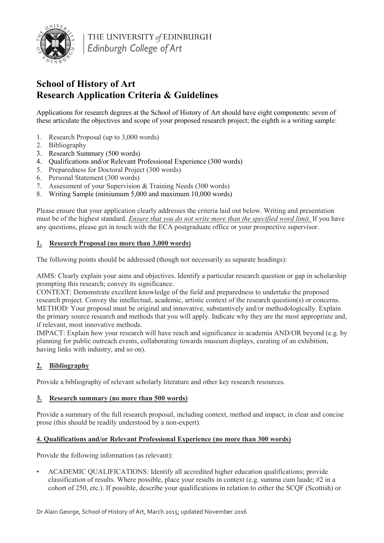

THE UNIVERSITY of EDINBURGH Edinburgh College of Art

# **School of History of Art Research Application Criteria & Guidelines**

Applications for research degrees at the School of History of Art should have eight components: seven of these articulate the objectives and scope of your proposed research project; the eighth is a writing sample:

- 1. Research Proposal (up to 3,000 words)
- 2. Bibliography
- 3. Research Summary (500 words)
- 4. Qualifications and/or Relevant Professional Experience (300 words)
- 5. Preparedness for Doctoral Project (300 words)
- 6. Personal Statement (300 words)
- 7. Assessment of your Supervision & Training Needs (300 words)
- 8. Writing Sample (miniumum 5,000 and maximum 10,000 words)

Please ensure that your application clearly addresses the criteria laid out below. Writing and presentation must be of the highest standard. *Ensure that you do not write more than the specified word limit.* If you have any questions, please get in touch with the ECA postgraduate office or your prospective supervisor.

## **1. Research Proposal (no more than 3,000 words)**

The following points should be addressed (though not necessarily as separate headings):

AIMS: Clearly explain your aims and objectives. Identify a particular research question or gap in scholarship prompting this research; convey its significance.

CONTEXT: Demonstrate excellent knowledge of the field and preparedness to undertake the proposed research project. Convey the intellectual, academic, artistic context of the research question(s) or concerns. METHOD: Your proposal must be original and innovative, substantively and/or methodologically. Explain the primary source research and methods that you will apply. Indicate why they are the most appropriate and, if relevant, most innovative methods.

IMPACT: Explain how your research will have reach and significance in academia AND/OR beyond (e.g. by planning for public outreach events, collaborating towards museum displays, curating of an exhibition, having links with industry, and so on).

## **2. Bibliography**

Provide a bibliography of relevant scholarly literature and other key research resources.

## **3. Research summary (no more than 500 words)**

Provide a summary of the full research proposal, including context, method and impact, in clear and concise prose (this should be readily understood by a non-expert).

## **4. Qualifications and/or Relevant Professional Experience (no more than 300 words)**

Provide the following information (as relevant):

• ACADEMIC QUALIFICATIONS: Identify all accredited higher education qualifications; provide classification of results. Where possible, place your results in context (e.g. summa cum laude; #2 in a cohort of 250, etc.). If possible, describe your qualifications in relation to either the SCQF (Scottish) or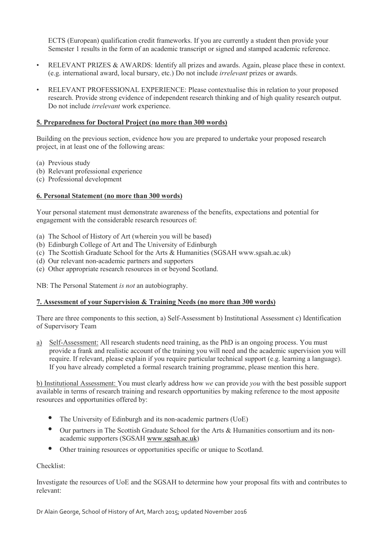ECTS (European) qualification credit frameworks. If you are currently a student then provide your Semester 1 results in the form of an academic transcript or signed and stamped academic reference.

- RELEVANT PRIZES & AWARDS: Identify all prizes and awards. Again, please place these in context. (e.g. international award, local bursary, etc.) Do not include *irrelevant* prizes or awards.
- RELEVANT PROFESSIONAL EXPERIENCE: Please contextualise this in relation to your proposed research. Provide strong evidence of independent research thinking and of high quality research output. Do not include *irrelevant* work experience.

#### **5. Preparedness for Doctoral Project (no more than 300 words)**

Building on the previous section, evidence how you are prepared to undertake your proposed research project, in at least one of the following areas:

- (a) Previous study
- (b) Relevant professional experience
- (c) Professional development

### **6. Personal Statement (no more than 300 words)**

Your personal statement must demonstrate awareness of the benefits, expectations and potential for engagement with the considerable research resources of:

- (a) The School of History of Art (wherein you will be based)
- (b) Edinburgh College of Art and The University of Edinburgh
- (c) The Scottish Graduate School for the Arts & Humanities (SGSAH www.sgsah.ac.uk)
- (d) Our relevant non-academic partners and supporters
- (e) Other appropriate research resources in or beyond Scotland.

NB: The Personal Statement *is not* an autobiography.

## **7. Assessment of your Supervision & Training Needs (no more than 300 words)**

There are three components to this section, a) Self-Assessment b) Institutional Assessment c) Identification of Supervisory Team

a) Self-Assessment: All research students need training, as the PhD is an ongoing process. You must provide a frank and realistic account of the training you will need and the academic supervision you will require. If relevant, please explain if you require particular technical support (e.g. learning a language). If you have already completed a formal research training programme, please mention this here.

b) Institutional Assessment: You must clearly address how *we* can provide *you* with the best possible support available in terms of research training and research opportunities by making reference to the most apposite resources and opportunities offered by:

- The University of Edinburgh and its non-academic partners (UoE)
- Our partners in The Scottish Graduate School for the Arts & Humanities consortium and its nonacademic supporters (SGSAH [www.sgsah.ac.uk\)](http://www.sgsah.ac.uk/)
- Other training resources or opportunities specific or unique to Scotland.

#### Checklist:

Investigate the resources of UoE and the SGSAH to determine how your proposal fits with and contributes to relevant: